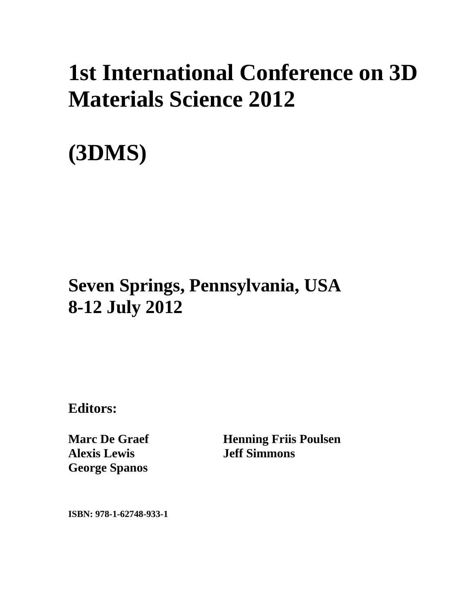## **1st International Conference on 3D Materials Science 2012**

# **(3DMS)**

### **Seven Springs, Pennsylvania, USA 8-12 July 2012**

**Editors:** 

**Marc De Graef Alexis Lewis George Spanos** 

**Henning Friis Poulsen Jeff Simmons** 

**ISBN: 978-1-62748-933-1**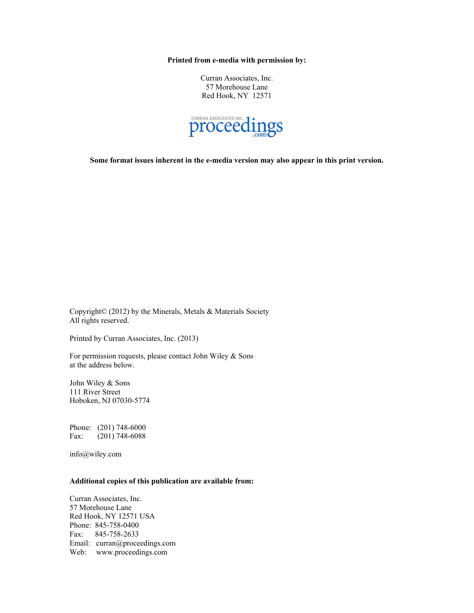**Printed from e-media with permission by:** 

Curran Associates, Inc. 57 Morehouse Lane Red Hook, NY 12571



**Some format issues inherent in the e-media version may also appear in this print version.** 

Copyright© (2012) by the Minerals, Metals & Materials Society All rights reserved.

Printed by Curran Associates, Inc. (2013)

For permission requests, please contact John Wiley & Sons at the address below.

John Wiley & Sons 111 River Street Hoboken, NJ 07030-5774

Phone: (201) 748-6000 Fax: (201) 748-6088

info@wiley.com

#### **Additional copies of this publication are available from:**

Curran Associates, Inc. 57 Morehouse Lane Red Hook, NY 12571 USA Phone: 845-758-0400 Fax: 845-758-2633 Email: curran@proceedings.com Web: www.proceedings.com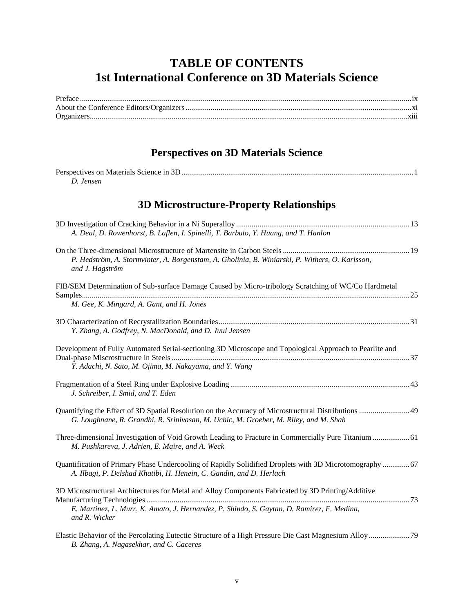#### **TABLE OF CONTENTS 1st International Conference on 3D Materials Science**

#### **Perspectives on 3D Materials Science**

| Perspectives on Materials Science in 3D. |  |
|------------------------------------------|--|
| Jensen                                   |  |

#### **3D Microstructure-Property Relationships**

| A. Deal, D. Rowenhorst, B. Laflen, I. Spinelli, T. Barbuto, Y. Huang, and T. Hanlon                                                                                            |  |
|--------------------------------------------------------------------------------------------------------------------------------------------------------------------------------|--|
|                                                                                                                                                                                |  |
| P. Hedström, A. Stormvinter, A. Borgenstam, A. Gholinia, B. Winiarski, P. Withers, O. Karlsson,<br>and J. Hagström                                                             |  |
| FIB/SEM Determination of Sub-surface Damage Caused by Micro-tribology Scratching of WC/Co Hardmetal                                                                            |  |
| M. Gee, K. Mingard, A. Gant, and H. Jones                                                                                                                                      |  |
| Y. Zhang, A. Godfrey, N. MacDonald, and D. Juul Jensen                                                                                                                         |  |
| Development of Fully Automated Serial-sectioning 3D Microscope and Topological Approach to Pearlite and<br>Y. Adachi, N. Sato, M. Ojima, M. Nakayama, and Y. Wang              |  |
| J. Schreiber, I. Smid, and T. Eden                                                                                                                                             |  |
| G. Loughnane, R. Grandhi, R. Srinivasan, M. Uchic, M. Groeber, M. Riley, and M. Shah                                                                                           |  |
| Three-dimensional Investigation of Void Growth Leading to Fracture in Commercially Pure Titanium  61<br>M. Pushkareva, J. Adrien, E. Maire, and A. Weck                        |  |
| Quantification of Primary Phase Undercooling of Rapidly Solidified Droplets with 3D Microtomography  67<br>A. Ilbagi, P. Delshad Khatibi, H. Henein, C. Gandin, and D. Herlach |  |
| 3D Microstructural Architectures for Metal and Alloy Components Fabricated by 3D Printing/Additive                                                                             |  |
| E. Martinez, L. Murr, K. Amato, J. Hernandez, P. Shindo, S. Gaytan, D. Ramirez, F. Medina,<br>and R. Wicker                                                                    |  |
|                                                                                                                                                                                |  |

*B. Zhang, A. Nagasekhar, and C. Caceres*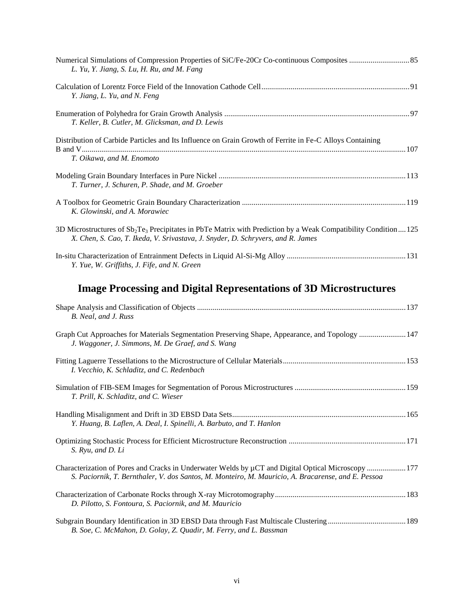| L. Yu, Y. Jiang, S. Lu, H. Ru, and M. Fang                                                                                                                                                             |
|--------------------------------------------------------------------------------------------------------------------------------------------------------------------------------------------------------|
| Y. Jiang, L. Yu, and N. Feng                                                                                                                                                                           |
| T. Keller, B. Cutler, M. Glicksman, and D. Lewis                                                                                                                                                       |
| Distribution of Carbide Particles and Its Influence on Grain Growth of Ferrite in Fe-C Alloys Containing<br>T. Oikawa, and M. Enomoto                                                                  |
| T. Turner, J. Schuren, P. Shade, and M. Groeber                                                                                                                                                        |
| K. Glowinski, and A. Morawiec                                                                                                                                                                          |
| 3D Microstructures of $Sb_2Te_3$ Precipitates in PbTe Matrix with Prediction by a Weak Compatibility Condition  125<br>X. Chen, S. Cao, T. Ikeda, V. Srivastava, J. Snyder, D. Schryvers, and R. James |
| Y. Yue, W. Griffiths, J. Fife, and N. Green                                                                                                                                                            |

### **Image Processing and Digital Representations of 3D Microstructures**

| B. Neal, and J. Russ                                                                                                                                                                                           |  |
|----------------------------------------------------------------------------------------------------------------------------------------------------------------------------------------------------------------|--|
| Graph Cut Approaches for Materials Segmentation Preserving Shape, Appearance, and Topology 147<br>J. Waggoner, J. Simmons, M. De Graef, and S. Wang                                                            |  |
| I. Vecchio, K. Schladitz, and C. Redenbach                                                                                                                                                                     |  |
| T. Prill, K. Schladitz, and C. Wieser                                                                                                                                                                          |  |
| Y. Huang, B. Laflen, A. Deal, I. Spinelli, A. Barbuto, and T. Hanlon                                                                                                                                           |  |
| S. Ryu, and D. Li                                                                                                                                                                                              |  |
| Characterization of Pores and Cracks in Underwater Welds by $\mu$ CT and Digital Optical Microscopy  177<br>S. Paciornik, T. Bernthaler, V. dos Santos, M. Monteiro, M. Mauricio, A. Bracarense, and E. Pessoa |  |
| D. Pilotto, S. Fontoura, S. Paciornik, and M. Mauricio                                                                                                                                                         |  |
| B. Soe, C. McMahon, D. Golay, Z. Quadir, M. Ferry, and L. Bassman                                                                                                                                              |  |